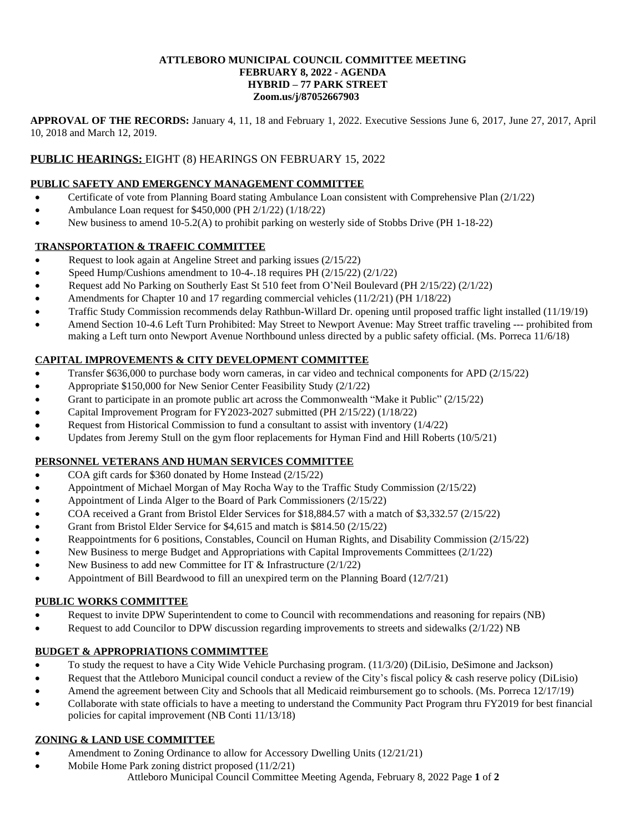#### **ATTLEBORO MUNICIPAL COUNCIL COMMITTEE MEETING FEBRUARY 8, 2022 - AGENDA HYBRID – 77 PARK STREET Zoom.us/j/87052667903**

**APPROVAL OF THE RECORDS:** January 4, 11, 18 and February 1, 2022. Executive Sessions June 6, 2017, June 27, 2017, April 10, 2018 and March 12, 2019.

# **PUBLIC HEARINGS:** EIGHT (8) HEARINGS ON FEBRUARY 15, 2022

## **PUBLIC SAFETY AND EMERGENCY MANAGEMENT COMMITTEE**

- Certificate of vote from Planning Board stating Ambulance Loan consistent with Comprehensive Plan (2/1/22)
- Ambulance Loan request for \$450,000 (PH 2/1/22) (1/18/22)
- New business to amend 10-5.2(A) to prohibit parking on westerly side of Stobbs Drive (PH 1-18-22)

## **TRANSPORTATION & TRAFFIC COMMITTEE**

- Request to look again at Angeline Street and parking issues (2/15/22)
- Speed Hump/Cushions amendment to 10-4-.18 requires PH (2/15/22) (2/1/22)
- Request add No Parking on Southerly East St 510 feet from O'Neil Boulevard (PH 2/15/22) (2/1/22)
- Amendments for Chapter 10 and 17 regarding commercial vehicles (11/2/21) (PH 1/18/22)
- Traffic Study Commission recommends delay Rathbun-Willard Dr. opening until proposed traffic light installed (11/19/19)
- Amend Section 10-4.6 Left Turn Prohibited: May Street to Newport Avenue: May Street traffic traveling --- prohibited from making a Left turn onto Newport Avenue Northbound unless directed by a public safety official. (Ms. Porreca 11/6/18)

# **CAPITAL IMPROVEMENTS & CITY DEVELOPMENT COMMITTEE**

- Transfer \$636,000 to purchase body worn cameras, in car video and technical components for APD (2/15/22)
- Appropriate \$150,000 for New Senior Center Feasibility Study (2/1/22)
- Grant to participate in an promote public art across the Commonwealth "Make it Public" (2/15/22)
- Capital Improvement Program for FY2023-2027 submitted (PH 2/15/22) (1/18/22)
- Request from Historical Commission to fund a consultant to assist with inventory (1/4/22)
- Updates from Jeremy Stull on the gym floor replacements for Hyman Find and Hill Roberts (10/5/21)

## **PERSONNEL VETERANS AND HUMAN SERVICES COMMITTEE**

- COA gift cards for \$360 donated by Home Instead (2/15/22)
- Appointment of Michael Morgan of May Rocha Way to the Traffic Study Commission (2/15/22)
- Appointment of Linda Alger to the Board of Park Commissioners (2/15/22)
- COA received a Grant from Bristol Elder Services for \$18,884.57 with a match of \$3,332.57 (2/15/22)
- Grant from Bristol Elder Service for \$4,615 and match is \$814.50 (2/15/22)
- Reappointments for 6 positions, Constables, Council on Human Rights, and Disability Commission (2/15/22)
- New Business to merge Budget and Appropriations with Capital Improvements Committees (2/1/22)
- New Business to add new Committee for IT & Infrastructure (2/1/22)
- Appointment of Bill Beardwood to fill an unexpired term on the Planning Board (12/7/21)

## **PUBLIC WORKS COMMITTEE**

- Request to invite DPW Superintendent to come to Council with recommendations and reasoning for repairs (NB)
- Request to add Councilor to DPW discussion regarding improvements to streets and sidewalks (2/1/22) NB

## **BUDGET & APPROPRIATIONS COMMIMTTEE**

- To study the request to have a City Wide Vehicle Purchasing program. (11/3/20) (DiLisio, DeSimone and Jackson)
- Request that the Attleboro Municipal council conduct a review of the City's fiscal policy & cash reserve policy (DiLisio)
- Amend the agreement between City and Schools that all Medicaid reimbursement go to schools. (Ms. Porreca 12/17/19)
- Collaborate with state officials to have a meeting to understand the Community Pact Program thru FY2019 for best financial policies for capital improvement (NB Conti 11/13/18)

## **ZONING & LAND USE COMMITTEE**

- Amendment to Zoning Ordinance to allow for Accessory Dwelling Units (12/21/21)
- Attleboro Municipal Council Committee Meeting Agenda, February 8, 2022 Page **1** of **2** Mobile Home Park zoning district proposed (11/2/21)